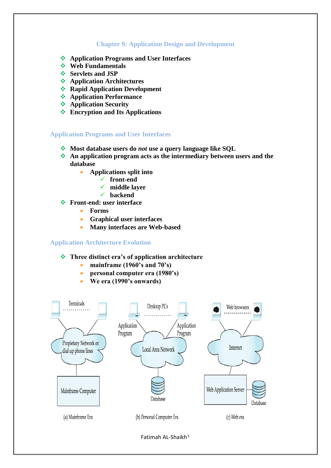## **Chapter 9: Application Design and Development**

- **Application Programs and User Interfaces**
- *❖* Web Fundamentals
- **❖** Servlets and JSP
- **Application Architectures**
- **Rapid Application Development**
- **Application Performance**
- **Application Security**
- **Encryption and Its Applications**

## **Application Programs and User Interfaces**

- **Most database users do** *not* **use a query language like SQL**
- **An application program acts as the intermediary between users and the database**
	- **Applications split into**
		- **front-end**
			- **middle layer**
		- **backend**
- **Front-end: user interface**
	- **Forms**
	- **Graphical user interfaces**
	- **Many interfaces are Web-based**

## **Application Architecture Evolution**

#### **Three distinct era"s of application architecture**

- **mainframe (1960"s and 70"s)**
- **personal computer era (1980"s)**
- **We era (1990"s onwards)**



Fatimah AL-Shaikh1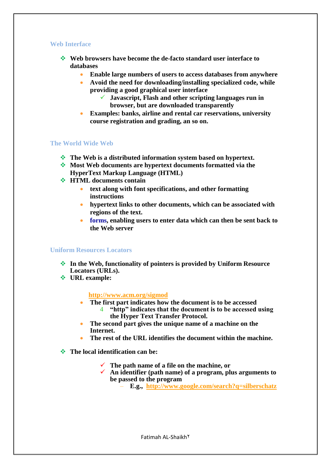## **Web Interface**

- **Web browsers have become the de-facto standard user interface to databases**
	- **Enable large numbers of users to access databases from anywhere**
	- **Avoid the need for downloading/installing specialized code, while providing a good graphical user interface**
		- **Javascript, Flash and other scripting languages run in browser, but are downloaded transparently**
	- **Examples: banks, airline and rental car reservations, university course registration and grading, an so on.**

## **The World Wide Web**

- **The Web is a distributed information system based on hypertext.**
- **Most Web documents are hypertext documents formatted via the HyperText Markup Language (HTML)**
- $\div$  **HTML** documents contain
	- **text along with font specifications, and other formatting instructions**
	- **hypertext links to other documents, which can be associated with regions of the text.**
	- **forms, enabling users to enter data which can then be sent back to the Web server**

## **Uniform Resources Locators**

- **In the Web, functionality of pointers is provided by Uniform Resource Locators (URLs).**
- **URL example:**

## **[http://www.acm.org/sigmod](http://a/)**

- **The first part indicates how the document is to be accessed** 4 **"http" indicates that the document is to be accessed using the Hyper Text Transfer Protocol.**
- **The second part gives the unique name of a machine on the Internet.**
- **The rest of the URL identifies the document within the machine.**
- **The local identification can be:**
	- **The path name of a file on the machine, or**
	- **An identifier (path name) of a program, plus arguments to be passed to the program**
		- **E.g., <http://www.google.com/search?q=silberschatz>**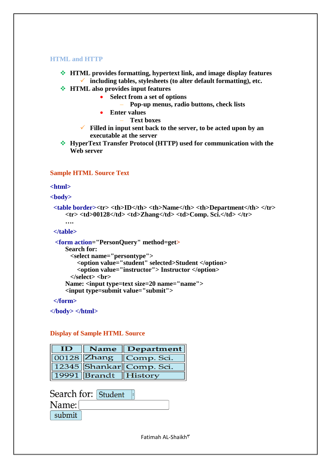#### **HTML and HTTP**

- **HTML provides formatting, hypertext link, and image display features including tables, stylesheets (to alter default formatting), etc.**
- **HTML also provides input features**
	- **Select from a set of options**
		- **Pop-up menus, radio buttons, check lists**
	- **Enter values**
		- **Text boxes**
	- **Filled in input sent back to the server, to be acted upon by an executable at the server**
- **HyperText Transfer Protocol (HTTP) used for communication with the Web server**

## **Sample HTML Source Text**

#### **<html>**

**<body>**

```
 <table border><tr> <th>ID</th> <th>Name</th> <th>Department</th> </tr>
   <tr> <td>00128</td> <td>Zhang</td> <td>Comp. Sci.</td> </tr>
```
## **</table>**

**….**

```
 <form action="PersonQuery" method=get>
   Search for: 
      <select name="persontype">
        <option value="student" selected>Student </option>
        <option value="instructor"> Instructor </option>
      </select> <br>
   Name: <input type=text size=20 name="name">
   <input type=submit value="submit">
```
## **</form>**

**</body> </html>**

## **Display of Sample HTML Source**

| ID |                      | $\parallel$ Name $\parallel$ Department $\parallel$ |  |
|----|----------------------|-----------------------------------------------------|--|
|    |                      | $\boxed{00128}$ Zhang $\boxed{\text{Comp. Sci.}}$   |  |
|    |                      | 12345 Shankar Comp. Sci.                            |  |
|    | 19991 Brandt History |                                                     |  |

Search for: Student

| \ame:  |  |
|--------|--|
| submit |  |

Fatimah AL-Shaikh $\tilde{r}$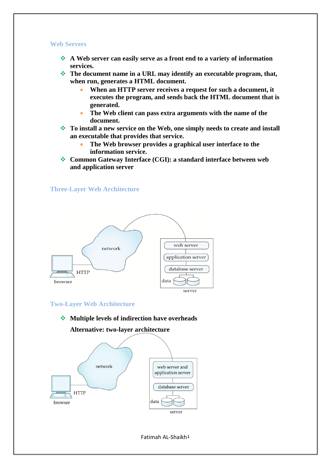#### **Web Servers**

- **A Web server can easily serve as a front end to a variety of information services.**
- **The document name in a URL may identify an executable program, that, when run, generates a HTML document.**
	- **When an HTTP server receives a request for such a document, it executes the program, and sends back the HTML document that is generated.**
	- **The Web client can pass extra arguments with the name of the document.**
- **To install a new service on the Web, one simply needs to create and install an executable that provides that service.**
	- **The Web browser provides a graphical user interface to the information service.**
- **Common Gateway Interface (CGI): a standard interface between web and application server**

**Three-Layer Web Architecture**



#### **Two-Layer Web Architecture**

**Multiple levels of indirection have overheads Alternative: two-layer architecture**



Fatimah AL-Shaikh $\frac{2}{3}$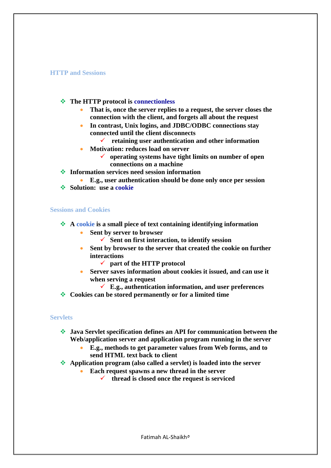#### **HTTP and Sessions**

- **The HTTP protocol is connectionless** 
	- **That is, once the server replies to a request, the server closes the connection with the client, and forgets all about the request**
	- **In contrast, Unix logins, and JDBC/ODBC connections stay connected until the client disconnects**
		- **retaining user authentication and other information**
	- **Motivation: reduces load on server** 
		- **operating systems have tight limits on number of open connections on a machine**
- **Information services need session information**

 **E.g., user authentication should be done only once per session**  $\div$  Solution: use a cookie

#### **Sessions and Cookies**

- **A cookie is a small piece of text containing identifying information**
	- **Sent by server to browser** 
		- **Sent on first interaction, to identify session**
	- **Sent by browser to the server that created the cookie on further interactions**
		- **part of the HTTP protocol**
	- **Server saves information about cookies it issued, and can use it when serving a request**
		- **E.g., authentication information, and user preferences**
- **Cookies can be stored permanently or for a limited time**

#### **Servlets**

- **Java Servlet specification defines an API for communication between the Web/application server and application program running in the server**
	- **E.g., methods to get parameter values from Web forms, and to send HTML text back to client**
- **Application program (also called a servlet) is loaded into the server**
	- **Each request spawns a new thread in the server**
		- **thread is closed once the request is serviced**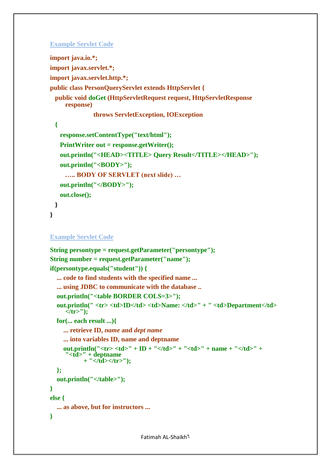## **Example Servlet Code**

```
import java.io.*;
import javax.servlet.*;
import javax.servlet.http.*;
public class PersonQueryServlet extends HttpServlet {
  public void doGet (HttpServletRequest request, HttpServletResponse 
     response)
               throws ServletException, IOException
  {
    response.setContentType("text/html");
    PrintWriter out = response.getWriter();
    out.println("<HEAD><TITLE> Query Result</TITLE></HEAD>");
    out.println("<BODY>");
      ….. BODY OF SERVLET (next slide) …
    out.println("</BODY>");
    out.close();
  }
}
```

```
Example Servlet Code
```

```
String persontype = request.getParameter("persontype");
String number = request.getParameter("name");
if(persontype.equals("student")) {
   ... code to find students with the specified name ...
   ... using JDBC to communicate with the database ..
   out.println("<table BORDER COLS=3>");
  out.println(" <tr> <td>ID</td> <td>Name: </td>" + " <td>Department</td>
     </tr>");
   for(... each result ...){
     ... retrieve ID, name and dept name
     ... into variables ID, name and deptname
     out.println("<tr> <td>" + ID + "</td>" + "<td>" + name + "</td>" +
      "<td>" + deptname 
            + "</td></tr>");
   };
   out.println("</table>");
}
else {
   ... as above, but for instructors ...
}
```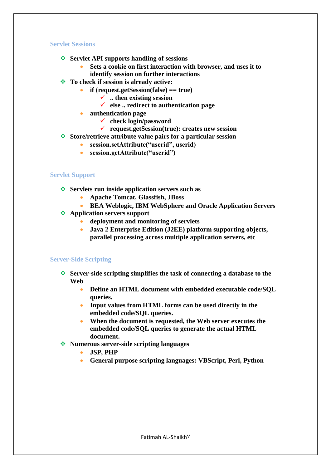## **Servlet Sessions**

- **Servlet API supports handling of sessions** 
	- **Sets a cookie on first interaction with browser, and uses it to identify session on further interactions**
- **To check if session is already active:**
	- **if (request.getSession(false) == true)**
		- **.. then existing session**
		- **else .. redirect to authentication page**
	- **authentication page**
		- **check login/password**
		- **request.getSession(true): creates new session**
- **Store/retrieve attribute value pairs for a particular session**
	- **session.setAttribute("userid", userid)**
	- **session.getAttribute("userid")**

## **Servlet Support**

- **Servlets run inside application servers such as** 
	- **Apache Tomcat, Glassfish, JBoss**
	- **BEA Weblogic, IBM WebSphere and Oracle Application Servers**
- **Application servers support** 
	- **deployment and monitoring of servlets**
	- **Java 2 Enterprise Edition (J2EE) platform supporting objects, parallel processing across multiple application servers, etc**

## **Server-Side Scripting**

- **Server-side scripting simplifies the task of connecting a database to the Web**
	- **Define an HTML document with embedded executable code/SQL queries.**
	- **Input values from HTML forms can be used directly in the embedded code/SQL queries.**
	- **When the document is requested, the Web server executes the embedded code/SQL queries to generate the actual HTML document.**
- **Numerous server-side scripting languages**
	- **JSP, PHP**
	- **General purpose scripting languages: VBScript, Perl, Python**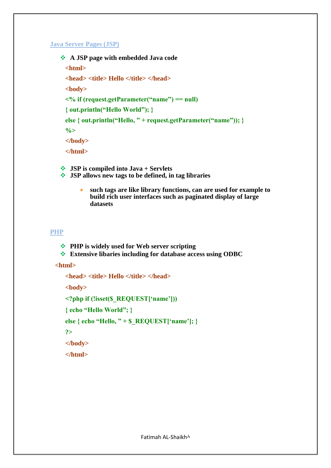## **Java Server Pages (JSP)**

```
 A JSP page with embedded Java code
 <html>
 <head> <title> Hello </title> </head>
 <body>
 <% if (request.getParameter("name") == null)
 { out.println("Hello World"); }
 else { out.println("Hello, " + request.getParameter("name")); }
 %>
 </body>
 </html>
```
**JSP is compiled into Java + Servlets**

- **JSP allows new tags to be defined, in tag libraries**
	- **such tags are like library functions, can are used for example to build rich user interfaces such as paginated display of large datasets**

## **PHP**

- $}$  **PHP** is widely used for Web server scripting
- **Extensive libaries including for database access using ODBC**

 **<html>**

```
<head> <title> Hello </title> </head>
<body>
<?php if (!isset($_REQUEST["name"]))
{ echo "Hello World"; }
else { echo "Hello, " + $_REQUEST["name"]; }
?>
</body>
</html>
```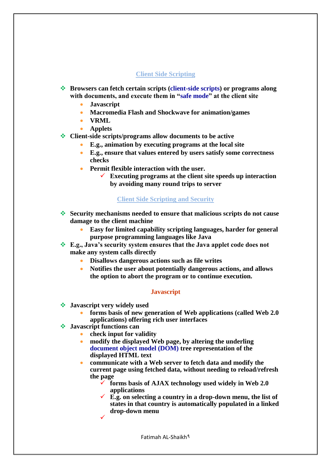## **Client Side Scripting**

- **Browsers can fetch certain scripts (client-side scripts) or programs along with documents, and execute them in "safe mode" at the client site**
	- **Javascript**
	- **Macromedia Flash and Shockwave for animation/games**
	- **VRML**
	- **Applets**
- **Client-side scripts/programs allow documents to be active**
	- **E.g., animation by executing programs at the local site**
	- **E.g., ensure that values entered by users satisfy some correctness checks**
	- **Permit flexible interaction with the user.**
		- **Executing programs at the client site speeds up interaction by avoiding many round trips to server**

## **Client Side Scripting and Security**

- **Security mechanisms needed to ensure that malicious scripts do not cause damage to the client machine**
	- **Easy for limited capability scripting languages, harder for general purpose programming languages like Java**
- **E.g., Java"s security system ensures that the Java applet code does not make any system calls directly**
	- **Disallows dangerous actions such as file writes**
	- **Notifies the user about potentially dangerous actions, and allows the option to abort the program or to continue execution.**

## **Javascript**

- **Javascript very widely used**
	- **forms basis of new generation of Web applications (called Web 2.0 applications) offering rich user interfaces**
- **Javascript functions can**
	- **check input for validity**
	- **modify the displayed Web page, by altering the underling document object model (DOM) tree representation of the displayed HTML text**
	- **communicate with a Web server to fetch data and modify the current page using fetched data, without needing to reload/refresh the page**
		- **forms basis of AJAX technology used widely in Web 2.0 applications**
		- **E.g. on selecting a country in a drop-down menu, the list of states in that country is automatically populated in a linked drop-down menu**  $\checkmark$

Fatimah AL-Shaikh9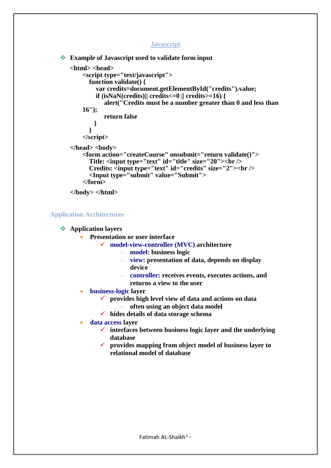## **Javascript**

```
 Example of Javascript used to validate form input
   <html> <head>
       <script type="text/javascript">
          function validate() {
             var credits=document.getElementById("credits").value;
            if (isNaN(credits)|| credits\leq=0 || credits>=16) {
                alert("Credits must be a number greater than 0 and less than 
       16");
                return false
            }
           }
       </script>
   </head> <br/>body>
       <form action="createCourse" onsubmit="return validate()">
          Title: <input type="text" id="title" size="20"><br />
          Credits: <input type="text" id="credits" size="2"><br />
           <Input type="submit" value="Submit">
       </form>
   </body> </html>
```
**Application Architectures**

## **Application layers**

- **Presentation or user interface**
	- **model-view-controller (MVC) architecture**
		- **model: business logic**
		- **view: presentation of data, depends on display device**
		- **controller: receives events, executes actions, and returns a view to the user**
- **business-logic layer** 
	- **provides high level view of data and actions on data**
		- **often using an object data model**
	- **hides details of data storage schema**
- **data access layer**
	- **interfaces between business logic layer and the underlying database**
	- **provides mapping from object model of business layer to relational model of database**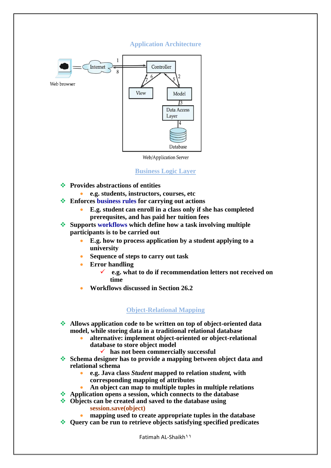## **Application Architecture**



Web/Application Server

## **Business Logic Layer**

- **Provides abstractions of entities**
- **e.g. students, instructors, courses, etc**
- **Enforces business rules for carrying out actions**
	- **E.g. student can enroll in a class only if she has completed prerequsites, and has paid her tuition fees**
- **Supports workflows which define how a task involving multiple participants is to be carried out**
	- **E.g. how to process application by a student applying to a university**
	- **Sequence of steps to carry out task**
	- **Error handling**
		- **e.g. what to do if recommendation letters not received on time**
	- **Workflows discussed in Section 26.2**

## **Object-Relational Mapping**

- **Allows application code to be written on top of object-oriented data model, while storing data in a traditional relational database**
	- **alternative: implement object-oriented or object-relational database to store object model**
		- **has not been commercially successful**
- **Schema designer has to provide a mapping between object data and relational schema**
	- **e.g. Java class** *Student* **mapped to relation** *student,* **with corresponding mapping of attributes**
	- **An object can map to multiple tuples in multiple relations**
- **Application opens a session, which connects to the database**
- **Objects can be created and saved to the database using session.save(object)**
	- **mapping used to create appropriate tuples in the database**
- **Query can be run to retrieve objects satisfying specified predicates**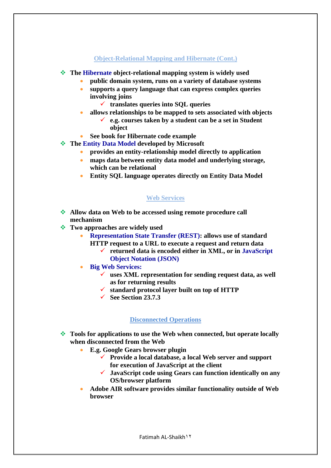## **Object-Relational Mapping and Hibernate (Cont.)**

- **The Hibernate object-relational mapping system is widely used**
	- **public domain system, runs on a variety of database systems**
	- **supports a query language that can express complex queries involving joins**
		- **translates queries into SQL queries**
	- **allows relationships to be mapped to sets associated with objects**
		- **e.g. courses taken by a student can be a set in Student object**
	- **See book for Hibernate code example**
- **The Entity Data Model developed by Microsoft**
	- **provides an entity-relationship model directly to application**
	- **maps data between entity data model and underlying storage, which can be relational**
	- **Entity SQL language operates directly on Entity Data Model**

## **Web Services**

- **Allow data on Web to be accessed using remote procedure call mechanism**
- **Two approaches are widely used**
	- **Representation State Transfer (REST): allows use of standard** 
		- **HTTP request to a URL to execute a request and return data**
			- **returned data is encoded either in XML, or in JavaScript Object Notation (JSON)**
	- **Big Web Services:** 
		- **uses XML representation for sending request data, as well as for returning results**
		- **standard protocol layer built on top of HTTP**
		- **See Section 23.7.3**

## **Disconnected Operations**

- **Tools for applications to use the Web when connected, but operate locally when disconnected from the Web**
	- **E.g. Google Gears browser plugin**
		- **Provide a local database, a local Web server and support for execution of JavaScript at the client**
		- **JavaScript code using Gears can function identically on any OS/browser platform**
	- **Adobe AIR software provides similar functionality outside of Web browser**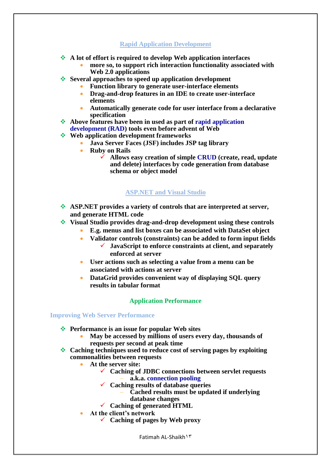## **Rapid Application Development**

- **A lot of effort is required to develop Web application interfaces**
	- **more so, to support rich interaction functionality associated with Web 2.0 applications**
- **Several approaches to speed up application development**
	- **Function library to generate user-interface elements**
	- **Drag-and-drop features in an IDE to create user-interface elements**
	- **Automatically generate code for user interface from a declarative specification**
- **Above features have been in used as part of rapid application**
- **development (RAD) tools even before advent of Web**
- *❖* **Web application development frameworks** 
	- **Java Server Faces (JSF) includes JSP tag library**
	- **•** Ruby on Rails
		- **Allows easy creation of simple CRUD (create, read, update and delete) interfaces by code generation from database schema or object model**

## **ASP.NET and Visual Studio**

- **ASP.NET provides a variety of controls that are interpreted at server, and generate HTML code**
- **Visual Studio provides drag-and-drop development using these controls**
	- **E.g. menus and list boxes can be associated with DataSet object**
		- **Validator controls (constraints) can be added to form input fields JavaScript to enforce constraints at client, and separately enforced at server**
		- **User actions such as selecting a value from a menu can be associated with actions at server**
	- **DataGrid provides convenient way of displaying SQL query results in tabular format**

## **Application Performance**

## **Improving Web Server Performance**

- **Performance is an issue for popular Web sites** 
	- **May be accessed by millions of users every day, thousands of requests per second at peak time**
- **Caching techniques used to reduce cost of serving pages by exploiting commonalities between requests**
	- **At the server site:**
		- **Caching of JDBC connections between servlet requests** – **a.k.a. connection pooling**
		- **Caching results of database queries**
			- **Cached results must be updated if underlying**
			- **database changes**
		- **Caching of generated HTML**
	- **At the client"s network**
		- **Caching of pages by Web proxy**

Fatimah AL-Shaikh13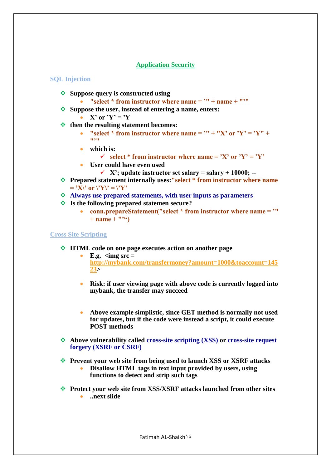## **Application Security**

#### **SQL Injection**

- **❖** Suppose query is constructed using
	- **"select \* from instructor where name = "" + name + """**
- **Suppose the user, instead of entering a name, enters:**
	- $X'$  or  $Y' = Y$
- *<b>* **then the resulting statement becomes:** 
	- "select \* from instructor where name =  $" + "X"$  or  $'Y' = Y'' +$ **"""**
	- **which is:**
		- $\checkmark$  select \* from instructor where name = 'X' or 'Y' = 'Y'
	- **User could have even used**
		- $\checkmark$  X'; update instructor set salary = salary + 10000; --
- **Prepared statement internally uses:"select \* from instructor where name**   $=$  'X\' or \'Y\' = \'Y'
- **Always use prepared statements, with user inputs as parameters**
- **Is the following prepared statemen secure?** 
	- **conn.prepareStatement("select \* from instructor where name = ""**   $+$  name  $+$   $"''$

#### **Cross Site Scripting**

- **HTML code on one page executes action on another page**
	- **E.g.**  $\langle \text{img src} = \rangle$ **[http://mybank.com/transfermoney?amount=1000&toaccount=145](http://mybank.com/transfermoney?amount=1000&toaccount=14523) [23>](http://mybank.com/transfermoney?amount=1000&toaccount=14523)**
	- **Risk: if user viewing page with above code is currently logged into mybank, the transfer may succeed**
	- **Above example simplistic, since GET method is normally not used for updates, but if the code were instead a script, it could execute POST methods**
- **Above vulnerability called cross-site scripting (XSS) or cross-site request forgery (XSRF or CSRF)**
- **Prevent your web site from being used to launch XSS or XSRF attacks Disallow HTML tags in text input provided by users, using** 
	- **functions to detect and strip such tags**
- **Protect your web site from XSS/XSRF attacks launched from other sites ..next slide**

Fatimah AL-Shaikh  $\frac{2}{5}$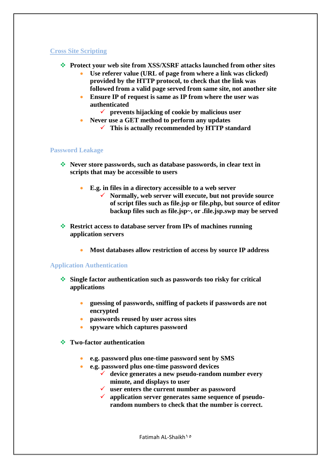## **Cross Site Scripting**

- **Protect your web site from XSS/XSRF attacks launched from other sites**
	- **Use referer value (URL of page from where a link was clicked) provided by the HTTP protocol, to check that the link was followed from a valid page served from same site, not another site**
	- **Ensure IP of request is same as IP from where the user was authenticated**
		- **prevents hijacking of cookie by malicious user**
	- **Never use a GET method to perform any updates**
		- **This is actually recommended by HTTP standard**

#### **Password Leakage**

- **Never store passwords, such as database passwords, in clear text in scripts that may be accessible to users**
	- **E.g. in files in a directory accessible to a web server**
		- **Normally, web server will execute, but not provide source of script files such as file.jsp or file.php, but source of editor backup files such as file.jsp~, or .file.jsp.swp may be served**
- **Restrict access to database server from IPs of machines running application servers**
	- **Most databases allow restriction of access by source IP address**

## **Application Authentication**

- **Single factor authentication such as passwords too risky for critical applications**
	- **guessing of passwords, sniffing of packets if passwords are not encrypted**
	- **passwords reused by user across sites**
	- **spyware which captures password**
- **Two-factor authentication**
	- **e.g. password plus one-time password sent by SMS**
	- **e.g. password plus one-time password devices**
		- **device generates a new pseudo-random number every minute, and displays to user**
		- **user enters the current number as password**
		- **application server generates same sequence of pseudorandom numbers to check that the number is correct.**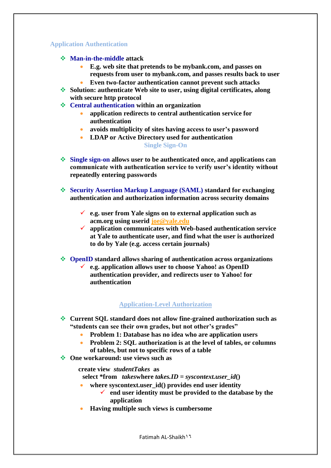## **Application Authentication**

- **Man-in-the-middle attack**
	- **E.g. web site that pretends to be mybank.com, and passes on requests from user to mybank.com, and passes results back to user**
	- **Even two-factor authentication cannot prevent such attacks**
- **Solution: authenticate Web site to user, using digital certificates, along with secure http protocol**
- **Central authentication within an organization**
	- **application redirects to central authentication service for authentication**
	- **avoids multiplicity of sites having access to user"s password**
	- **LDAP or Active Directory used for authentication Single Sign-On**
- **Single sign-on allows user to be authenticated once, and applications can communicate with authentication service to verify user"s identity without repeatedly entering passwords**
- **Security Assertion Markup Language (SAML) standard for exchanging authentication and authorization information across security domains**
	- **e.g. user from Yale signs on to external application such as acm.org using userid [joe@yale.edu](mailto:joe@yale.edu)**
	- **application communicates with Web-based authentication service at Yale to authenticate user, and find what the user is authorized to do by Yale (e.g. access certain journals)**
- **OpenID standard allows sharing of authentication across organizations e.g. application allows user to choose Yahoo! as OpenID authentication provider, and redirects user to Yahoo! for authentication**

## **Application-Level Authorization**

- **Current SQL standard does not allow fine-grained authorization such as "students can see their own grades, but not other"s grades"**
	- **Problem 1: Database has no idea who are application users**
	- **Problem 2: SQL authorization is at the level of tables, or columns of tables, but not to specific rows of a table**
- $\triangle$  One workaround: use views such as

 **create view** *studentTakes* **as**

**select \*from** *takes* where *takes.ID* = *syscontext.user*  $id()$ 

- where syscontext.user id() provides end user identity
	- **end user identity must be provided to the database by the application**
- **Having multiple such views is cumbersome**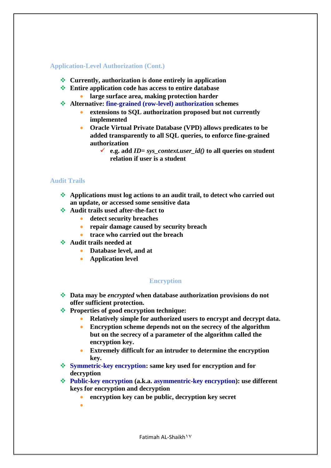## **Application-Level Authorization (Cont.)**

- **Currently, authorization is done entirely in application**
- **Entire application code has access to entire database large surface area, making protection harder**
- **Alternative: fine-grained (row-level) authorization schemes**
	- **extensions to SQL authorization proposed but not currently implemented**
	- **Oracle Virtual Private Database (VPD) allows predicates to be added transparently to all SQL queries, to enforce fine-grained authorization**
		- $\checkmark$  e.g. add *ID*= *sys* context.user *id*() to all queries on student **relation if user is a student**

## **Audit Trails**

- **Applications must log actions to an audit trail, to detect who carried out an update, or accessed some sensitive data**
- **Audit trails used after-the-fact to** 
	- **detect security breaches**
	- **repair damage caused by security breach**
	- **trace who carried out the breach**
- **Audit trails needed at**
	- **Database level, and at**
	- **Application level**

## **Encryption**

- **Data may be** *encrypted* **when database authorization provisions do not offer sufficient protection.**
- **Properties of good encryption technique:** 
	- **Relatively simple for authorized users to encrypt and decrypt data.**
	- **Encryption scheme depends not on the secrecy of the algorithm but on the secrecy of a parameter of the algorithm called the encryption key.**
	- **Extremely difficult for an intruder to determine the encryption key.**
- **Symmetric-key encryption: same key used for encryption and for decryption**
- **Public-key encryption (a.k.a. asymmentric-key encryption): use different keys for encryption and decryption**
	- **encryption key can be public, decryption key secret**
	- $\bullet$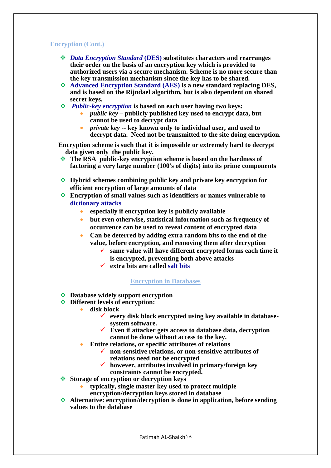## **Encryption (Cont.)**

- *Data Encryption Standard* **(DES) substitutes characters and rearranges their order on the basis of an encryption key which is provided to authorized users via a secure mechanism. Scheme is no more secure than the key transmission mechanism since the key has to be shared.**
- **Advanced Encryption Standard (AES) is a new standard replacing DES, and is based on the Rijndael algorithm, but is also dependent on shared secret keys.**
- *Public-key encryption* **is based on each user having two keys:**
	- *public key* **– publicly published key used to encrypt data, but cannot be used to decrypt data**
	- *private key* **-- key known only to individual user, and used to decrypt data. Need not be transmitted to the site doing encryption.**

 **Encryption scheme is such that it is impossible or extremely hard to decrypt data given only the public key.**

- **The RSA public-key encryption scheme is based on the hardness of factoring a very large number (100's of digits) into its prime components**
- **Hybrid schemes combining public key and private key encryption for efficient encryption of large amounts of data**
- **Encryption of small values such as identifiers or names vulnerable to dictionary attacks** 
	- **especially if encryption key is publicly available**
	- **but even otherwise, statistical information such as frequency of occurrence can be used to reveal content of encrypted data**
	- **Can be deterred by adding extra random bits to the end of the value, before encryption, and removing them after decryption**
		- **same value will have different encrypted forms each time it is encrypted, preventing both above attacks**
		- **extra bits are called salt bits**

## **Encryption in Databases**

- $}$  **Database widely support encryption**
- $\div$  Different levels of encryption:
	- **disk block**
		- **every disk block encrypted using key available in databasesystem software.**
		- **Even if attacker gets access to database data, decryption cannot be done without access to the key.**
	- **Entire relations, or specific attributes of relations**
		- **non-sensitive relations, or non-sensitive attributes of relations need not be encrypted**
		- **however, attributes involved in primary/foreign key constraints cannot be encrypted.**
- **Storage of encryption or decryption keys** 
	- **typically, single master key used to protect multiple encryption/decryption keys stored in database**
		-
- **Alternative: encryption/decryption is done in application, before sending values to the database**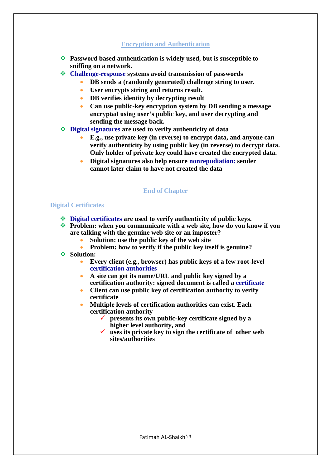# **Encryption and Authentication**

- **Password based authentication is widely used, but is susceptible to sniffing on a network.**
- **Challenge-response systems avoid transmission of passwords**
	- **DB sends a (randomly generated) challenge string to user.**
	- **User encrypts string and returns result.**
	- **DB verifies identity by decrypting result**
	- **Can use public-key encryption system by DB sending a message encrypted using user"s public key, and user decrypting and sending the message back.**
- **Digital signatures are used to verify authenticity of data**
	- **E.g., use private key (in reverse) to encrypt data, and anyone can verify authenticity by using public key (in reverse) to decrypt data. Only holder of private key could have created the encrypted data.**
	- **Digital signatures also help ensure nonrepudiation: sender cannot later claim to have not created the data**

## **End of Chapter**

## **Digital Certificates**

- **Digital certificates are used to verify authenticity of public keys.**
- **Problem: when you communicate with a web site, how do you know if you are talking with the genuine web site or an imposter?**
	- **Solution: use the public key of the web site**
	- **Problem: how to verify if the public key itself is genuine?**
- **Solution:**
	- **Every client (e.g., browser) has public keys of a few root-level certification authorities**
	- **A site can get its name/URL and public key signed by a certification authority: signed document is called a certificate**
	- **Client can use public key of certification authority to verify certificate**
	- **Multiple levels of certification authorities can exist. Each certification authority** 
		- **presents its own public-key certificate signed by a higher level authority, and**
		- **uses its private key to sign the certificate of other web sites/authorities**